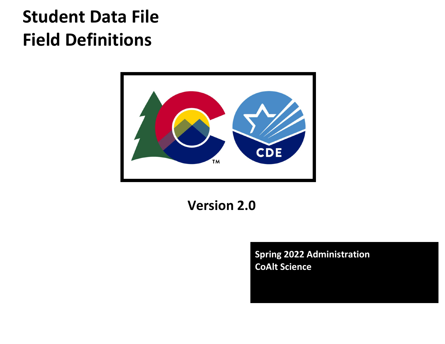# Student Data File Field Definitions



## Version 2.0

Spring 2022 Administration CoAlt Science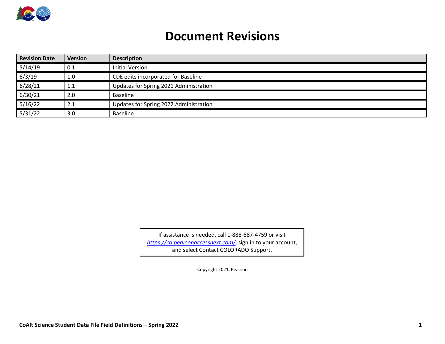

### Document Revisions

| <b>Revision Date</b> | Version | <b>Description</b>                     |  |  |  |  |  |
|----------------------|---------|----------------------------------------|--|--|--|--|--|
| 5/14/19              | 0.1     | Initial Version                        |  |  |  |  |  |
| 6/3/19               | 1.0     | CDE edits incorporated for Baseline    |  |  |  |  |  |
| 6/28/21              | 1.1     | Updates for Spring 2021 Administration |  |  |  |  |  |
| 6/30/21              | 2.0     | <b>Baseline</b>                        |  |  |  |  |  |
| 5/16/22              | 2.1     | Updates for Spring 2022 Administration |  |  |  |  |  |
| 5/31/22              | 3.0     | <b>Baseline</b>                        |  |  |  |  |  |

If assistance is needed, call 1-888-687-4759 or visit https://co.pearsonaccessnext.com/, sign in to your account, and select Contact COLORADO Support.

Copyright 2021, Pearson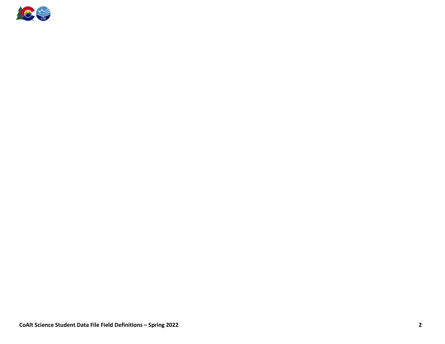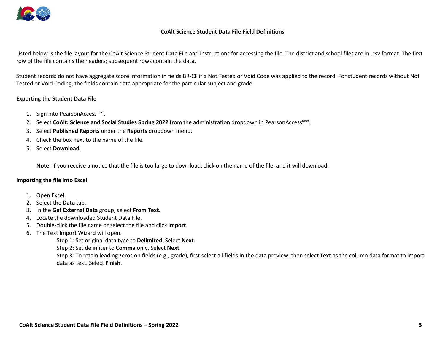

#### CoAlt Science Student Data File Field Definitions

Listed below is the file layout for the CoAlt Science Student Data File and instructions for accessing the file. The district and school files are in .csv format. The first row of the file contains the headers; subsequent rows contain the data.

Student records do not have aggregate score information in fields BR-CF if a Not Tested or Void Code was applied to the record. For student records without Not Tested or Void Coding, the fields contain data appropriate for the particular subject and grade.

#### Exporting the Student Data File

- 1. Sign into PearsonAccess<sup>next</sup>.
- 2. Select CoAlt: Science and Social Studies Spring 2022 from the administration dropdown in PearsonAccess<sup>next</sup>.
- 3. Select Published Reports under the Reports dropdown menu.
- 4. Check the box next to the name of the file.
- 5. Select Download.

Note: If you receive a notice that the file is too large to download, click on the name of the file, and it will download.

#### Importing the file into Excel

- 1. Open Excel.
- 2. Select the Data tab.
- 3. In the Get External Data group, select From Text.
- 4. Locate the downloaded Student Data File.
- 5. Double-click the file name or select the file and click Import.
- 6. The Text Import Wizard will open.

Step 1: Set original data type to Delimited. Select Next.

Step 2: Set delimiter to Comma only. Select Next.

Step 3: To retain leading zeros on fields (e.g., grade), first select all fields in the data preview, then select Text as the column data format to import data as text. Select Finish.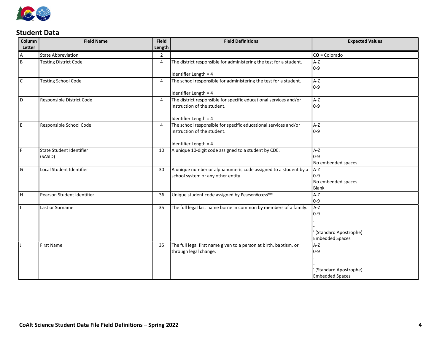

#### Student Data

| Column<br>Letter | <b>Field Name</b>                   | <b>Field</b><br>Length | <b>Field Definitions</b>                                                                                                  | <b>Expected Values</b>                                            |
|------------------|-------------------------------------|------------------------|---------------------------------------------------------------------------------------------------------------------------|-------------------------------------------------------------------|
| Α                | <b>State Abbreviation</b>           | $\overline{2}$         |                                                                                                                           | $CO = Colorado$                                                   |
| $\overline{B}$   | <b>Testing District Code</b>        | 4                      | The district responsible for administering the test for a student.                                                        | $A-Z$<br>$0-9$                                                    |
| l C              | <b>Testing School Code</b>          | 4                      | Identifier Length = 4<br>The school responsible for administering the test for a student.<br>Identifier Length = 4        | $A-Z$<br>$0-9$                                                    |
| ١D               | Responsible District Code           | 4                      | The district responsible for specific educational services and/or<br>instruction of the student.<br>Identifier Length = 4 | $A-Z$<br>$0-9$                                                    |
| l E              | Responsible School Code             | $\overline{4}$         | The school responsible for specific educational services and/or<br>instruction of the student.<br>Identifier Length = 4   | A-Z<br>$0-9$                                                      |
| ١F               | State Student Identifier<br>(SASID) | 10                     | A unique 10-digit code assigned to a student by CDE.                                                                      | A-Z<br>$0-9$<br>No embedded spaces                                |
| lG.              | Local Student Identifier            | 30                     | A unique number or alphanumeric code assigned to a student by a<br>school system or any other entity.                     | A-Z<br>$0-9$<br>No embedded spaces<br><b>Blank</b>                |
| lн               | Pearson Student Identifier          | 36                     | Unique student code assigned by PearsonAccessnext.                                                                        | $A-Z$<br>$0-9$                                                    |
|                  | Last or Surname                     | 35                     | The full legal last name borne in common by members of a family.                                                          | A-Z<br>$0-9$<br>(Standard Apostrophe)<br><b>Embedded Spaces</b>   |
|                  | <b>First Name</b>                   | 35                     | The full legal first name given to a person at birth, baptism, or<br>through legal change.                                | $A-Z$<br>$0-9$<br>(Standard Apostrophe)<br><b>Embedded Spaces</b> |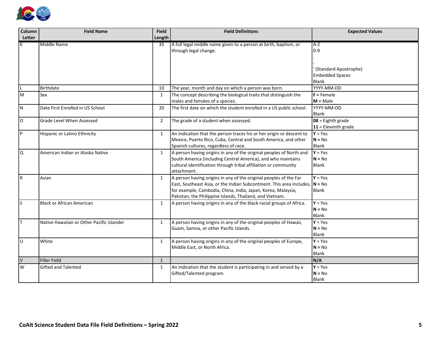

| Column | <b>Field Name</b>                         | <b>Field</b>   | <b>Field Definitions</b>                                                                                                                                                                                                                                                        | <b>Expected Values</b>                                          |
|--------|-------------------------------------------|----------------|---------------------------------------------------------------------------------------------------------------------------------------------------------------------------------------------------------------------------------------------------------------------------------|-----------------------------------------------------------------|
| Letter |                                           | Length         |                                                                                                                                                                                                                                                                                 |                                                                 |
| к      | <b>Middle Name</b>                        | 35             | A full legal middle name given to a person at birth, baptism, or<br>through legal change.                                                                                                                                                                                       | $A-Z$<br>$0-9$                                                  |
|        |                                           |                |                                                                                                                                                                                                                                                                                 | (Standard Apostrophe)<br><b>Embedded Spaces</b><br><b>Blank</b> |
| L      | <b>Birthdate</b>                          | 10             | The year, month and day on which a person was born.                                                                                                                                                                                                                             | YYYY-MM-DD                                                      |
| lм     | Sex                                       | $\mathbf{1}$   | The concept describing the biological traits that distinguish the<br>males and females of a species.                                                                                                                                                                            | $F =$ Female<br>$M = Male$                                      |
| ١N     | Date First Enrolled in US School          | 20             | The first date on which the student enrolled in a US public school.                                                                                                                                                                                                             | YYYY-MM-DD<br>Blank                                             |
| I٥     | Grade Level When Assessed                 | $\overline{2}$ | The grade of a student when assessed.                                                                                                                                                                                                                                           | $08 =$ Eighth grade<br>$11 =$ Eleventh grade                    |
| l P    | Hispanic or Latino Ethnicity              | $\mathbf{1}$   | An indication that the person traces his or her origin or descent to<br>Mexico, Puerto Rico, Cuba, Central and South America, and other<br>Spanish cultures, regardless of race.                                                                                                | $Y = Yes$<br>$N = No$<br><b>Blank</b>                           |
| lQ     | American Indian or Alaska Native          | $\mathbf{1}$   | A person having origins in any of the original peoples of North and<br>South America (including Central America), and who maintains<br>cultural identification through tribal affiliation or community<br>attachment.                                                           | $Y = Yes$<br>$N = No$<br><b>Blank</b>                           |
| l R    | Asian                                     | 1              | A person having origins in any of the original peoples of the Far<br>East, Southeast Asia, or the Indian Subcontinent. This area includes, $N = No$<br>for example, Cambodia, China, India, Japan, Korea, Malaysia,<br>Pakistan, the Philippine Islands, Thailand, and Vietnam. | $Y = Yes$<br><b>Blank</b>                                       |
| ls     | <b>Black or African American</b>          | $\mathbf{1}$   | A person having origins in any of the black racial groups of Africa.                                                                                                                                                                                                            | $\mathsf{I} \mathsf{Y} = \mathsf{Yes}$<br>$N = No$<br>Blank     |
| Iт.    | Native Hawaiian or Other Pacific Islander | $\mathbf{1}$   | A person having origins in any of the original peoples of Hawaii,<br>Guam, Samoa, or other Pacific Islands.                                                                                                                                                                     | $Y = Yes$<br>$N = No$<br><b>Blank</b>                           |
| lu     | White                                     | $\mathbf{1}$   | A person having origins in any of the original peoples of Europe,<br>Middle East, or North Africa.                                                                                                                                                                              | $Y = Yes$<br>$N = No$<br>Blank                                  |
| $\vee$ | <b>Filler Field</b>                       | $\mathbf{1}$   |                                                                                                                                                                                                                                                                                 | N/A                                                             |
| W      | Gifted and Talented                       | 1              | An indication that the student is participating in and served by a<br>Gifted/Talented program.                                                                                                                                                                                  | $Y = Yes$<br>$N = No$<br><b>Blank</b>                           |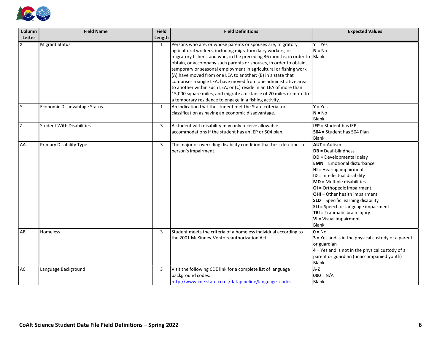

| Column    | <b>Field Name</b>                | <b>Field</b> | <b>Field Definitions</b>                                                  | <b>Expected Values</b>                               |
|-----------|----------------------------------|--------------|---------------------------------------------------------------------------|------------------------------------------------------|
| Letter    |                                  | Length       |                                                                           |                                                      |
|           | <b>Migrant Status</b>            | 1            | Persons who are, or whose parents or spouses are, migratory               | $Y = Yes$                                            |
|           |                                  |              | agricultural workers, including migratory dairy workers, or               | $N = No$                                             |
|           |                                  |              | migratory fishers, and who, in the preceding 36 months, in order to Blank |                                                      |
|           |                                  |              | obtain, or accompany such parents or spouses, in order to obtain,         |                                                      |
|           |                                  |              | temporary or seasonal employment in agricultural or fishing work          |                                                      |
|           |                                  |              | (A) have moved from one LEA to another; (B) in a state that               |                                                      |
|           |                                  |              | comprises a single LEA, have moved from one administrative area           |                                                      |
|           |                                  |              | to another within such LEA; or (C) reside in an LEA of more than          |                                                      |
|           |                                  |              | 15,000 square miles, and migrate a distance of 20 miles or more to        |                                                      |
|           |                                  |              | a temporary residence to engage in a fishing activity.                    |                                                      |
| I۷        | Economic Disadvantage Status     | $\mathbf{1}$ | An indication that the student met the State criteria for                 | $Y = Yes$                                            |
|           |                                  |              | classification as having an economic disadvantage.                        | $N = No$                                             |
|           |                                  |              |                                                                           | Blank                                                |
| Iz        | <b>Student With Disabilities</b> | 3            | A student with disability may only receive allowable                      | <b>IEP</b> = Student has IEP                         |
|           |                                  |              | accommodations if the student has an IEP or 504 plan.                     | $504$ = Student has 504 Plan                         |
|           |                                  |              |                                                                           | Blank                                                |
| AA        | Primary Disability Type          | 3            | The major or overriding disability condition that best describes a        | <b>AUT</b> = Autism                                  |
|           |                                  |              | person's impairment.                                                      | <b>DB</b> = Deaf-blindness                           |
|           |                                  |              |                                                                           | <b>DD</b> = Developmental delay                      |
|           |                                  |              |                                                                           | <b>EMN</b> = Emotional disturbance                   |
|           |                                  |              |                                                                           | HI = Hearing impairment                              |
|           |                                  |              |                                                                           | ID = Intellectual disability                         |
|           |                                  |              |                                                                           | <b>MD</b> = Multiple disabilities                    |
|           |                                  |              |                                                                           | OI = Orthopedic impairment                           |
|           |                                  |              |                                                                           | OHI = Other health impairment                        |
|           |                                  |              |                                                                           | <b>SLD</b> = Specific learning disability            |
|           |                                  |              |                                                                           | <b>SLI</b> = Speech or language impairment           |
|           |                                  |              |                                                                           | TBI = Traumatic brain injury                         |
|           |                                  |              |                                                                           | VI = Visual impairment                               |
|           |                                  |              |                                                                           | Blank                                                |
| AB        | Homeless                         | 3            | Student meets the criteria of a homeless individual according to          | $0 = No$                                             |
|           |                                  |              | the 2001 McKinney-Vento reauthorization Act.                              | $3$ = Yes and is in the physical custody of a parent |
|           |                                  |              |                                                                           | or guardian                                          |
|           |                                  |              |                                                                           | $4$ = Yes and is not in the physical custody of a    |
|           |                                  |              |                                                                           | parent or guardian (unaccompanied youth)             |
|           |                                  |              |                                                                           | Blank                                                |
| <b>AC</b> | Language Background              | 3            | Visit the following CDE link for a complete list of language              | $A-Z$                                                |
|           |                                  |              | background codes:                                                         | $000 = N/A$                                          |
|           |                                  |              | http://www.cde.state.co.us/datapipeline/language codes                    | <b>Blank</b>                                         |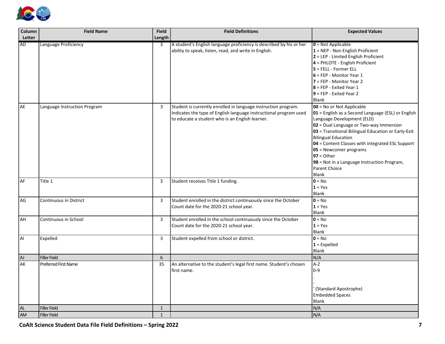

| Column    | <b>Field Name</b>            | <b>Field</b> | <b>Field Definitions</b>                                                                                                                                                               | <b>Expected Values</b>                                                                                                                                                                                                                                                                                                                                                                                            |
|-----------|------------------------------|--------------|----------------------------------------------------------------------------------------------------------------------------------------------------------------------------------------|-------------------------------------------------------------------------------------------------------------------------------------------------------------------------------------------------------------------------------------------------------------------------------------------------------------------------------------------------------------------------------------------------------------------|
| Letter    |                              | Length       |                                                                                                                                                                                        |                                                                                                                                                                                                                                                                                                                                                                                                                   |
| <b>AD</b> | Language Proficiency         | 3            | A student's English language proficiency is described by his or her<br>ability to speak, listen, read, and write in English.                                                           | $0 = Not Applicable$<br>$1 = NEP - Non English Proficient$<br>$2 = LEP - Limited English Proficient$<br>4 = PHLOTE - English Proficient<br>5 = FELL - Former ELL<br>$6$ = FEP - Monitor Year 1<br>$7 = FEP - Monitor Year 2$<br>$8$ = FEP - Exited Year 1<br>$9$ = FEP - Exited Year 2<br><b>Blank</b>                                                                                                            |
| AE        | Language Instruction Program | 3            | Student is currently enrolled in language instruction program.<br>Indicates the type of English language instructional program used<br>to educate a student who is an English learner. | $ 00 $ = No or Not Applicable<br>01 = English as a Second Language (ESL) or English<br>Language Development (ELD)<br>02 = Dual Language or Two-way Immersion<br>03 = Transitional Bilingual Education or Early-Exit<br>Bilingual Education<br>04 = Content Classes with integrated ESL Support<br>05 = Newcomer programs<br>$97 =$ Other<br>98 = Not in a Language Instruction Program,<br>Parent Choice<br>Blank |
| <b>AF</b> | Title 1                      | 3            | Student receives Title 1 funding.                                                                                                                                                      | $0 = No$<br>$1 = Yes$<br><b>Blank</b>                                                                                                                                                                                                                                                                                                                                                                             |
| AG        | Continuous in District       | 3            | Student enrolled in the district continuously since the October<br>Count date for the 2020-21 school year.                                                                             | $0 = No$<br>$1 = Yes$<br><b>Blank</b>                                                                                                                                                                                                                                                                                                                                                                             |
| AH        | Continuous in School         | 3            | Student enrolled in the school continuously since the October<br>Count date for the 2020-21 school year.                                                                               | $0 = No$<br>$1 = Yes$<br><b>Blank</b>                                                                                                                                                                                                                                                                                                                                                                             |
| AI        | Expelled                     | 3            | Student expelled from school or district.                                                                                                                                              | $0 = No$<br>$1 =$ Expelled<br><b>Blank</b>                                                                                                                                                                                                                                                                                                                                                                        |
| AJ        | <b>Filler Field</b>          | 6            |                                                                                                                                                                                        | N/A                                                                                                                                                                                                                                                                                                                                                                                                               |
| AK        | <b>Preferred First Name</b>  | 35           | An alternative to the student's legal first name. Student's chosen<br>first name.                                                                                                      | $A-Z$<br>$0-9$<br>(Standard Apostrophe)<br><b>Embedded Spaces</b><br><b>Blank</b>                                                                                                                                                                                                                                                                                                                                 |
| AL        | <b>Filler Field</b>          | $\mathbf{1}$ |                                                                                                                                                                                        | N/A                                                                                                                                                                                                                                                                                                                                                                                                               |
| <b>AM</b> | <b>Filler Field</b>          | $\mathbf{1}$ |                                                                                                                                                                                        | N/A                                                                                                                                                                                                                                                                                                                                                                                                               |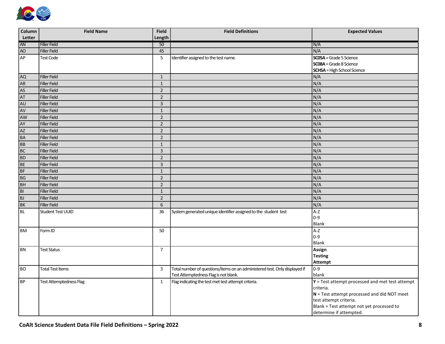

| Column    | <b>Field Name</b>              | <b>Field</b>   | <b>Field Definitions</b>                                                   | <b>Expected Values</b>                                                  |
|-----------|--------------------------------|----------------|----------------------------------------------------------------------------|-------------------------------------------------------------------------|
| Letter    |                                | Length         |                                                                            |                                                                         |
| AN        | <b>Filler Field</b>            | 50             |                                                                            | N/A                                                                     |
| AO        | <b>Filler Field</b>            | 45             |                                                                            | N/A                                                                     |
| AP        | <b>Test Code</b>               | 5              | Identifier assigned to the test name.                                      | $SC05A = Grade 5 Science$                                               |
|           |                                |                |                                                                            | SCO8A = Grade 8 Science                                                 |
|           |                                |                |                                                                            | <b>SCHSA</b> = High School Science                                      |
| AQ        | Filler Field                   | $\mathbf{1}$   |                                                                            | N/A                                                                     |
| AR        | <b>Filler Field</b>            | $\mathbf{1}$   |                                                                            | N/A                                                                     |
| AS        | <b>Filler Field</b>            | $\overline{2}$ |                                                                            | N/A                                                                     |
| <b>AT</b> | <b>Filler Field</b>            | $\overline{2}$ |                                                                            | N/A                                                                     |
| AU        | <b>Filler Field</b>            | $\overline{3}$ |                                                                            | N/A                                                                     |
| AV        | <b>Filler Field</b>            | $\mathbf{1}$   |                                                                            | N/A                                                                     |
| AW        | <b>Filler Field</b>            | $\overline{2}$ |                                                                            | N/A                                                                     |
| AY        | <b>Filler Field</b>            | $\overline{2}$ |                                                                            | N/A                                                                     |
| <b>AZ</b> | <b>Filler Field</b>            | $\overline{2}$ |                                                                            | N/A                                                                     |
| <b>BA</b> | <b>Filler Field</b>            | $\overline{2}$ |                                                                            | N/A                                                                     |
| <b>BB</b> | <b>Filler Field</b>            | $\mathbf{1}$   |                                                                            | N/A                                                                     |
| BC        | <b>Filler Field</b>            | $\overline{3}$ |                                                                            | N/A                                                                     |
| <b>BD</b> | <b>Filler Field</b>            | $\overline{2}$ |                                                                            | N/A                                                                     |
| <b>BE</b> | <b>Filler Field</b>            | $\mathbf{3}$   |                                                                            | N/A                                                                     |
| <b>BF</b> | <b>Filler Field</b>            | $\mathbf 1$    |                                                                            | N/A                                                                     |
| <b>BG</b> | <b>Filler Field</b>            | $\overline{2}$ |                                                                            | N/A                                                                     |
| <b>BH</b> | <b>Filler Field</b>            | $\overline{2}$ |                                                                            | N/A                                                                     |
| <b>BI</b> | Filler Field                   | $\mathbf 1$    |                                                                            | N/A                                                                     |
| BJ        | <b>Filler Field</b>            | $\overline{2}$ |                                                                            | N/A                                                                     |
| <b>BK</b> | <b>Filler Field</b>            | $\sqrt{6}$     |                                                                            | N/A                                                                     |
| <b>BL</b> | <b>Student Test UUID</b>       | 36             | System generated unique identifier assigned to the student test            | $A-Z$                                                                   |
|           |                                |                |                                                                            | $0-9$                                                                   |
|           |                                |                |                                                                            | Blank                                                                   |
| <b>BM</b> | Form ID                        | 50             |                                                                            | $A-Z$                                                                   |
|           |                                |                |                                                                            | $0-9$                                                                   |
|           |                                |                |                                                                            | Blank                                                                   |
| BN        | <b>Test Status</b>             | $\overline{7}$ |                                                                            | Assign                                                                  |
|           |                                |                |                                                                            | <b>Testing</b>                                                          |
|           |                                |                |                                                                            | Attempt                                                                 |
| <b>BO</b> | <b>Total Test Items</b>        | 3              | Total number of questions/items on an administered test. Only displayed if | $\overline{0-9}$                                                        |
|           |                                |                | Test Attemptedness Flag is not blank.                                      | blank                                                                   |
| BP        | <b>Test Attemptedness Flag</b> | $\mathbf{1}$   | Flag indicating the test met test attempt criteria.                        | $Y = Test$ attempt processed and met test attempt                       |
|           |                                |                |                                                                            | criteria.                                                               |
|           |                                |                |                                                                            | $N$ = Test attempt processed and did NOT meet<br>test attempt criteria. |
|           |                                |                |                                                                            | Blank = Test attempt not yet processed to                               |
|           |                                |                |                                                                            | determine if attempted.                                                 |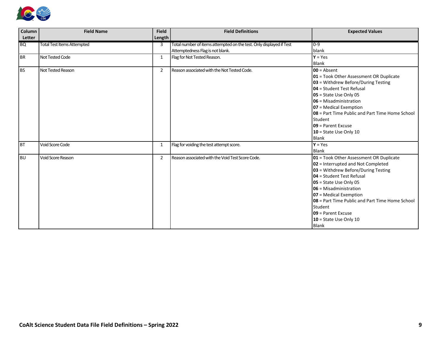

| Column     | <b>Field Name</b>                 | <b>Field</b>   | <b>Field Definitions</b>                                                                                | <b>Expected Values</b>                                                                                                                                                                                                                                                                                                                                            |
|------------|-----------------------------------|----------------|---------------------------------------------------------------------------------------------------------|-------------------------------------------------------------------------------------------------------------------------------------------------------------------------------------------------------------------------------------------------------------------------------------------------------------------------------------------------------------------|
| Letter     |                                   | Length         |                                                                                                         |                                                                                                                                                                                                                                                                                                                                                                   |
| <b>BQ</b>  | <b>Total Test Items Attempted</b> | 3              | Total number of items attempted on the test. Only displayed if Test<br>Attemptedness Flag is not blank. | $0 - 9$<br>blank                                                                                                                                                                                                                                                                                                                                                  |
| BR         | Not Tested Code                   | $\mathbf{1}$   | Flag for Not Tested Reason.                                                                             | $Y = Yes$<br>Blank                                                                                                                                                                                                                                                                                                                                                |
| l BS       | Not Tested Reason                 | $\overline{2}$ | Reason associated with the Not Tested Code.                                                             | $100 =$ Absent<br>01 = Took Other Assessment OR Duplicate<br>03 = Withdrew Before/During Testing<br>04 = Student Test Refusal<br>$05$ = State Use Only 05<br>$106$ = Misadministration<br>07 = Medical Exemption<br>08 = Part Time Public and Part Time Home School<br>Student<br>09 = Parent Excuse<br>$10$ = State Use Only 10<br>Blank                         |
| $\sqrt{B}$ | Void Score Code                   | $\mathbf{1}$   | Flag for voiding the test attempt score.                                                                | $Y = Yes$<br>Blank                                                                                                                                                                                                                                                                                                                                                |
| <b>BU</b>  | Void Score Reason                 | $\overline{2}$ | Reason associated with the Void Test Score Code.                                                        | 01 = Took Other Assessment OR Duplicate<br>02 = Interrupted and Not Completed<br>03 = Withdrew Before/During Testing<br>04 = Student Test Refusal<br>05 = State Use Only 05<br>06 = Misadministration<br>07 = Medical Exemption<br>08 = Part Time Public and Part Time Home School<br>Student<br>$09$ = Parent Excuse<br>$10 =$ State Use Only 10<br><b>Blank</b> |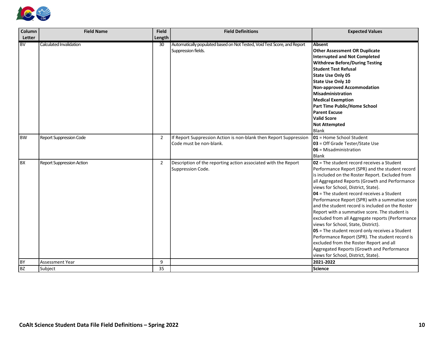

| Column    | <b>Field Name</b>              | <b>Field</b>   | <b>Field Definitions</b>                                                                        | <b>Expected Values</b>                                                                                                                                                                                                                                                                                                                                                                                                                                                                                                                                                                                                                                                                                                                                                           |
|-----------|--------------------------------|----------------|-------------------------------------------------------------------------------------------------|----------------------------------------------------------------------------------------------------------------------------------------------------------------------------------------------------------------------------------------------------------------------------------------------------------------------------------------------------------------------------------------------------------------------------------------------------------------------------------------------------------------------------------------------------------------------------------------------------------------------------------------------------------------------------------------------------------------------------------------------------------------------------------|
| Letter    |                                | Length         |                                                                                                 |                                                                                                                                                                                                                                                                                                                                                                                                                                                                                                                                                                                                                                                                                                                                                                                  |
| <b>BV</b> | <b>Calculated Invalidation</b> | 30             | Automatically populated based on Not Tested, Void Test Score, and Report<br>Suppression fields. | <b>Absent</b><br><b>Other Assessment OR Duplicate</b><br>Interrupted and Not Completed<br><b>Withdrew Before/During Testing</b><br><b>Student Test Refusal</b><br><b>State Use Only 05</b><br><b>State Use Only 10</b><br>Non-approved Accommodation<br>Misadministration<br><b>Medical Exemption</b><br><b>Part Time Public/Home School</b><br><b>Parent Excuse</b><br>Valid Score<br><b>Not Attempted</b><br><b>Blank</b>                                                                                                                                                                                                                                                                                                                                                      |
| <b>BW</b> | <b>Report Suppression Code</b> | $\overline{2}$ | If Report Suppression Action is non-blank then Report Suppression<br>Code must be non-blank.    | $ 01 $ = Home School Student<br>03 = Off Grade Tester/State Use<br>$106$ = Misadministration<br><b>Blank</b>                                                                                                                                                                                                                                                                                                                                                                                                                                                                                                                                                                                                                                                                     |
| <b>BX</b> | Report Suppression Action      | $2^{\circ}$    | Description of the reporting action associated with the Report<br>Suppression Code.             | 02 = The student record receives a Student<br>Performance Report (SPR) and the student record<br>is included on the Roster Report. Excluded from<br>all Aggregated Reports (Growth and Performance<br>views for School, District, State).<br>04 = The student record receives a Student<br>Performance Report (SPR) with a summative score<br>and the student record is included on the Roster<br>Report with a summative score. The student is<br>excluded from all Aggregate reports (Performance<br>views for School, State, District).<br>05 = The student record only receives a Student<br>Performance Report (SPR). The student record is<br>excluded from the Roster Report and all<br>Aggregated Reports (Growth and Performance<br>views for School, District, State). |
| BY)       | Assessment Year                | 9              |                                                                                                 | 2021-2022                                                                                                                                                                                                                                                                                                                                                                                                                                                                                                                                                                                                                                                                                                                                                                        |
| <b>BZ</b> | Subject                        | 35             |                                                                                                 | <b>Science</b>                                                                                                                                                                                                                                                                                                                                                                                                                                                                                                                                                                                                                                                                                                                                                                   |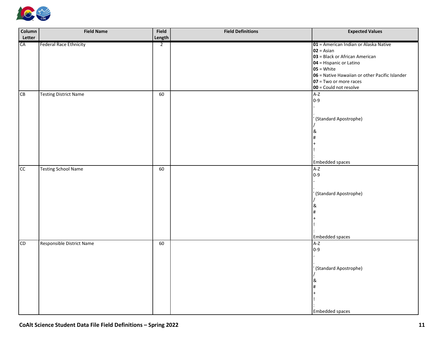

| <b>Column</b> | <b>Field Name</b>            | Field          | <b>Field Definitions</b> | <b>Expected Values</b>                         |
|---------------|------------------------------|----------------|--------------------------|------------------------------------------------|
| Letter        |                              | Length         |                          |                                                |
| CA            | Federal Race Ethnicity       | $\overline{2}$ |                          | 01 = American Indian or Alaska Native          |
|               |                              |                |                          | $ 02 $ = Asian                                 |
|               |                              |                |                          | 03 = Black or African American                 |
|               |                              |                |                          | $\boxed{04}$ = Hispanic or Latino              |
|               |                              |                |                          | $ 05 $ = White                                 |
|               |                              |                |                          | 06 = Native Hawaiian or other Pacific Islander |
|               |                              |                |                          | $ 07 $ = Two or more races                     |
|               |                              |                |                          | $ 00 $ = Could not resolve                     |
| CE            | <b>Testing District Name</b> | 60             |                          | A-Z                                            |
|               |                              |                |                          | $ 0-9 $                                        |
|               |                              |                |                          |                                                |
|               |                              |                |                          |                                                |
|               |                              |                |                          | (Standard Apostrophe)                          |
|               |                              |                |                          |                                                |
|               |                              |                |                          | &                                              |
|               |                              |                |                          |                                                |
|               |                              |                |                          |                                                |
|               |                              |                |                          |                                                |
|               |                              |                |                          | Embedded spaces                                |
| cc            | <b>Testing School Name</b>   | 60             |                          | $A-Z$                                          |
|               |                              |                |                          | $ 0-9 $                                        |
|               |                              |                |                          |                                                |
|               |                              |                |                          |                                                |
|               |                              |                |                          | (Standard Apostrophe)                          |
|               |                              |                |                          |                                                |
|               |                              |                |                          | &                                              |
|               |                              |                |                          |                                                |
|               |                              |                |                          |                                                |
|               |                              |                |                          |                                                |
|               |                              |                |                          |                                                |
|               |                              |                |                          | Embedded spaces                                |
| CD            | Responsible District Name    | 60             |                          | $A-Z$                                          |
|               |                              |                |                          | $0 - 9$                                        |
|               |                              |                |                          |                                                |
|               |                              |                |                          |                                                |
|               |                              |                |                          | (Standard Apostrophe)                          |
|               |                              |                |                          |                                                |
|               |                              |                |                          | &                                              |
|               |                              |                |                          |                                                |
|               |                              |                |                          |                                                |
|               |                              |                |                          |                                                |
|               |                              |                |                          |                                                |
|               |                              |                |                          | <b>Embedded spaces</b>                         |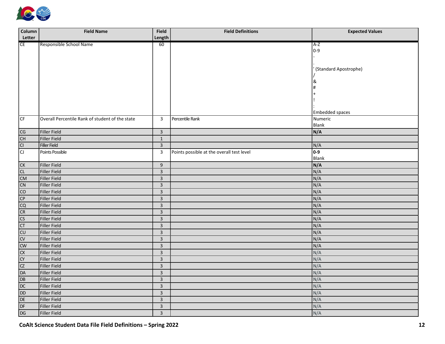

| <b>Column</b>                                                                                                                                                                                                                                                                                                       | <b>Field Name</b>                               | Field                   | <b>Field Definitions</b>                  | <b>Expected Values</b>    |
|---------------------------------------------------------------------------------------------------------------------------------------------------------------------------------------------------------------------------------------------------------------------------------------------------------------------|-------------------------------------------------|-------------------------|-------------------------------------------|---------------------------|
| Letter                                                                                                                                                                                                                                                                                                              |                                                 | Length                  |                                           |                           |
| CE                                                                                                                                                                                                                                                                                                                  | Responsible School Name                         | 60                      |                                           | $A-Z$                     |
|                                                                                                                                                                                                                                                                                                                     |                                                 |                         |                                           | $0 - 9$                   |
|                                                                                                                                                                                                                                                                                                                     |                                                 |                         |                                           |                           |
|                                                                                                                                                                                                                                                                                                                     |                                                 |                         |                                           | (Standard Apostrophe)     |
|                                                                                                                                                                                                                                                                                                                     |                                                 |                         |                                           |                           |
|                                                                                                                                                                                                                                                                                                                     |                                                 |                         |                                           |                           |
|                                                                                                                                                                                                                                                                                                                     |                                                 |                         |                                           |                           |
|                                                                                                                                                                                                                                                                                                                     |                                                 |                         |                                           |                           |
|                                                                                                                                                                                                                                                                                                                     |                                                 |                         |                                           |                           |
|                                                                                                                                                                                                                                                                                                                     |                                                 |                         |                                           |                           |
|                                                                                                                                                                                                                                                                                                                     |                                                 |                         |                                           | <b>Embedded spaces</b>    |
| CF                                                                                                                                                                                                                                                                                                                  | Overall Percentile Rank of student of the state | 3                       | Percentile Rank                           | Numeric                   |
|                                                                                                                                                                                                                                                                                                                     |                                                 |                         |                                           | Blank                     |
| CG                                                                                                                                                                                                                                                                                                                  | Filler Field                                    | $\overline{3}$          |                                           | N/A                       |
| $\begin{array}{c}\nCH \\ Cl\n\end{array}$                                                                                                                                                                                                                                                                           | Filler Field                                    | $\mathbf 1$             |                                           |                           |
|                                                                                                                                                                                                                                                                                                                     | Filler Field                                    | $\overline{3}$          |                                           | N/A                       |
| $\overline{C}$                                                                                                                                                                                                                                                                                                      | Points Possible                                 | $\overline{\mathbf{3}}$ | Points possible at the overall test level | $\overline{0-9}$<br>Blank |
|                                                                                                                                                                                                                                                                                                                     | Filler Field                                    | $9\,$                   |                                           | N/A                       |
| $\begin{array}{c}\nCK \\ CL\n\end{array}$                                                                                                                                                                                                                                                                           | Filler Field                                    | $\overline{\mathbf{3}}$ |                                           | N/A                       |
| CM                                                                                                                                                                                                                                                                                                                  | Filler Field                                    | $\overline{3}$          |                                           | N/A                       |
| CN                                                                                                                                                                                                                                                                                                                  | Filler Field                                    | $\overline{3}$          |                                           | N/A                       |
| CO                                                                                                                                                                                                                                                                                                                  | Filler Field                                    | $\overline{\mathbf{3}}$ |                                           | N/A                       |
| CP                                                                                                                                                                                                                                                                                                                  | Filler Field                                    | $\overline{3}$          |                                           | N/A                       |
| CQ                                                                                                                                                                                                                                                                                                                  | Filler Field                                    | $\overline{3}$          |                                           | N/A                       |
| CR                                                                                                                                                                                                                                                                                                                  | Filler Field                                    | $\overline{3}$          |                                           | N/A                       |
| CS                                                                                                                                                                                                                                                                                                                  | Filler Field                                    | $\overline{\mathbf{3}}$ |                                           | N/A                       |
| CT                                                                                                                                                                                                                                                                                                                  | Filler Field                                    | $\mathsf{3}$            |                                           | N/A                       |
|                                                                                                                                                                                                                                                                                                                     | Filler Field                                    | $\overline{3}$          |                                           | N/A                       |
| $rac{1}{2}$                                                                                                                                                                                                                                                                                                         | Filler Field                                    | $\overline{3}$          |                                           | N/A                       |
| CW                                                                                                                                                                                                                                                                                                                  | Filler Field                                    | $\overline{3}$          |                                           | N/A                       |
|                                                                                                                                                                                                                                                                                                                     | Filler Field                                    | 3                       |                                           | N/A                       |
|                                                                                                                                                                                                                                                                                                                     | Filler Field                                    | $\overline{3}$          |                                           | N/A                       |
| $\frac{X}{C}$ $\frac{X}{D}$ $\frac{X}{D}$ $\frac{X}{D}$ $\frac{X}{D}$ $\frac{X}{D}$ $\frac{X}{D}$ $\frac{X}{D}$ $\frac{X}{D}$ $\frac{X}{D}$ $\frac{X}{D}$ $\frac{X}{D}$ $\frac{X}{D}$ $\frac{X}{D}$ $\frac{X}{D}$ $\frac{X}{D}$ $\frac{X}{D}$ $\frac{X}{D}$ $\frac{X}{D}$ $\frac{X}{D}$ $\frac{X}{D}$ $\frac{X}{D}$ | Filler Field                                    | $\overline{3}$          |                                           | N/A                       |
|                                                                                                                                                                                                                                                                                                                     | Filler Field                                    | $\overline{3}$          |                                           | N/A                       |
|                                                                                                                                                                                                                                                                                                                     | Filler Field                                    | $\overline{3}$          |                                           | N/A                       |
| $\begin{array}{c}\n\text{DB} \\ \text{DC}\n\end{array}$                                                                                                                                                                                                                                                             | Filler Field                                    | $\overline{3}$          |                                           | N/A                       |
|                                                                                                                                                                                                                                                                                                                     | Filler Field                                    | $\overline{\mathbf{3}}$ |                                           | N/A                       |
| $\begin{array}{ c } \hline \text{DD} \\ \hline \text{DE} \end{array}$                                                                                                                                                                                                                                               | Filler Field                                    | $\overline{\mathbf{3}}$ |                                           | N/A                       |
|                                                                                                                                                                                                                                                                                                                     | Filler Field                                    | $\overline{3}$          |                                           | N/A                       |
| $\begin{array}{c}\nDF \\ DG\n\end{array}$                                                                                                                                                                                                                                                                           | <b>Filler Field</b>                             | $\overline{3}$          |                                           | N/A                       |